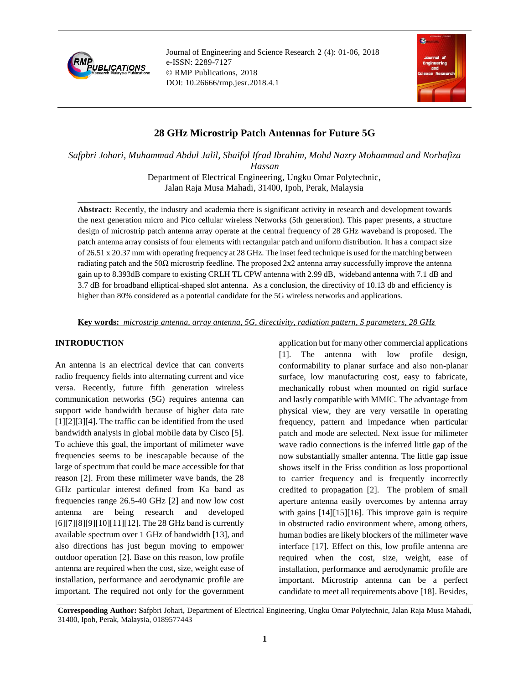

Journal of Engineering and Science Research 2 (4): 01-06, 2018 e-ISSN: 2289-7127 © RMP Publications, 2018 DOI: 10.26666/rmp.jesr.2018.4.1



# **28 GHz Microstrip Patch Antennas for Future 5G**

*Safpbri Johari, Muhammad Abdul Jalil, Shaifol Ifrad Ibrahim, Mohd Nazry Mohammad and Norhafiza Hassan*

> Department of Electrical Engineering, Ungku Omar Polytechnic, Jalan Raja Musa Mahadi, 31400, Ipoh, Perak, Malaysia

**Abstract:** Recently, the industry and academia there is significant activity in research and development towards the next generation micro and Pico cellular wireless Networks (5th generation). This paper presents, a structure design of microstrip patch antenna array operate at the central frequency of 28 GHz waveband is proposed. The patch antenna array consists of four elements with rectangular patch and uniform distribution. It has a compact size of 26.51 x 20.37 mm with operating frequency at 28 GHz. The inset feed technique is used for the matching between radiating patch and the  $50\Omega$  microstrip feedline. The proposed 2x2 antenna array successfully improve the antenna gain up to 8.393dB compare to existing CRLH TL CPW antenna with 2.99 dB, wideband antenna with 7.1 dB and 3.7 dB for broadband elliptical-shaped slot antenna. As a conclusion, the directivity of 10.13 db and efficiency is higher than 80% considered as a potential candidate for the 5G wireless networks and applications.

**Key words:** *microstrip antenna, array antenna, 5G, directivity, radiation pattern, S parameters, 28 GHz*

# **INTRODUCTION**

An antenna is an electrical device that can converts radio frequency fields into alternating current and vice versa. Recently, future fifth generation wireless communication networks (5G) requires antenna can support wide bandwidth because of higher data rate [1][2][3][4]. The traffic can be identified from the used bandwidth analysis in global mobile data by Cisco [5]. To achieve this goal, the important of milimeter wave frequencies seems to be inescapable because of the large of spectrum that could be mace accessible for that reason [2]. From these milimeter wave bands, the 28 GHz particular interest defined from Ka band as frequencies range 26.5-40 GHz [2] and now low cost antenna are being research and developed [6][7][8][9][10][11][12]. The 28 GHz band is currently available spectrum over 1 GHz of bandwidth [13], and also directions has just begun moving to empower outdoor operation [2]. Base on this reason, low profile antenna are required when the cost, size, weight ease of installation, performance and aerodynamic profile are important. The required not only for the government

application but for many other commercial applications [1]. The antenna with low profile design, conformability to planar surface and also non-planar surface, low manufacturing cost, easy to fabricate, mechanically robust when mounted on rigid surface and lastly compatible with MMIC. The advantage from physical view, they are very versatile in operating frequency, pattern and impedance when particular patch and mode are selected. Next issue for milimeter wave radio connections is the inferred little gap of the now substantially smaller antenna. The little gap issue shows itself in the Friss condition as loss proportional to carrier frequency and is frequently incorrectly credited to propagation [2]. The problem of small aperture antenna easily overcomes by antenna array with gains [14][15][16]. This improve gain is require in obstructed radio environment where, among others, human bodies are likely blockers of the milimeter wave interface [17]. Effect on this, low profile antenna are required when the cost, size, weight, ease of installation, performance and aerodynamic profile are important. Microstrip antenna can be a perfect candidate to meet all requirements above [18]. Besides,

**Corresponding Author: S**afpbri Johari, Department of Electrical Engineering, Ungku Omar Polytechnic, Jalan Raja Musa Mahadi, 31400, Ipoh, Perak, Malaysia, 0189577443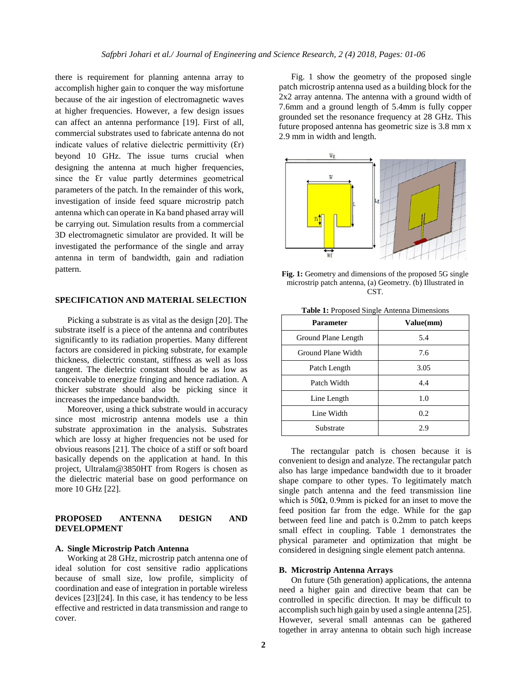there is requirement for planning antenna array to accomplish higher gain to conquer the way misfortune because of the air ingestion of electromagnetic waves at higher frequencies. However, a few design issues can affect an antenna performance [19]. First of all, commercial substrates used to fabricate antenna do not indicate values of relative dielectric permittivity  $(\mathcal{E}_r)$ beyond 10 GHz. The issue turns crucial when designing the antenna at much higher frequencies, since the Er value partly determines geometrical parameters of the patch. In the remainder of this work, investigation of inside feed square microstrip patch antenna which can operate in Ka band phased array will be carrying out. Simulation results from a commercial 3D electromagnetic simulator are provided. It will be investigated the performance of the single and array antenna in term of bandwidth, gain and radiation pattern.

## **SPECIFICATION AND MATERIAL SELECTION**

Picking a substrate is as vital as the design [20]. The substrate itself is a piece of the antenna and contributes significantly to its radiation properties. Many different factors are considered in picking substrate, for example thickness, dielectric constant, stiffness as well as loss tangent. The dielectric constant should be as low as conceivable to energize fringing and hence radiation. A thicker substrate should also be picking since it increases the impedance bandwidth.

Moreover, using a thick substrate would in accuracy since most microstrip antenna models use a thin substrate approximation in the analysis. Substrates which are lossy at higher frequencies not be used for obvious reasons [21]. The choice of a stiff or soft board basically depends on the application at hand. In this project, Ultralam@3850HT from Rogers is chosen as the dielectric material base on good performance on more 10 GHz [22].

## **PROPOSED ANTENNA DESIGN AND DEVELOPMENT**

#### **A. Single Microstrip Patch Antenna**

Working at 28 GHz, microstrip patch antenna one of ideal solution for cost sensitive radio applications because of small size, low profile, simplicity of coordination and ease of integration in portable wireless devices [23][24]. In this case, it has tendency to be less effective and restricted in data transmission and range to cover.

Fig. 1 show the geometry of the proposed single patch microstrip antenna used as a building block for the 2x2 array antenna. The antenna with a ground width of 7.6mm and a ground length of 5.4mm is fully copper grounded set the resonance frequency at 28 GHz. This future proposed antenna has geometric size is 3.8 mm x 2.9 mm in width and length.



**Fig. 1:** Geometry and dimensions of the proposed 5G single microstrip patch antenna, (a) Geometry. (b) Illustrated in CST.

| <b>Parameter</b>    | Value(mm) |
|---------------------|-----------|
| Ground Plane Length | 5.4       |
| Ground Plane Width  | 7.6       |
| Patch Length        | 3.05      |
| Patch Width         | 4.4       |
| Line Length         | 1.0       |
| Line Width          | 0.2       |
| Substrate           | 2.9       |

The rectangular patch is chosen because it is convenient to design and analyze. The rectangular patch also has large impedance bandwidth due to it broader shape compare to other types. To legitimately match single patch antenna and the feed transmission line which is  $50\Omega$ , 0.9mm is picked for an inset to move the feed position far from the edge. While for the gap between feed line and patch is 0.2mm to patch keeps small effect in coupling. Table 1 demonstrates the physical parameter and optimization that might be considered in designing single element patch antenna.

# **B. Microstrip Antenna Arrays**

On future (5th generation) applications, the antenna need a higher gain and directive beam that can be controlled in specific direction. It may be difficult to accomplish such high gain by used a single antenna [25]. However, several small antennas can be gathered together in array antenna to obtain such high increase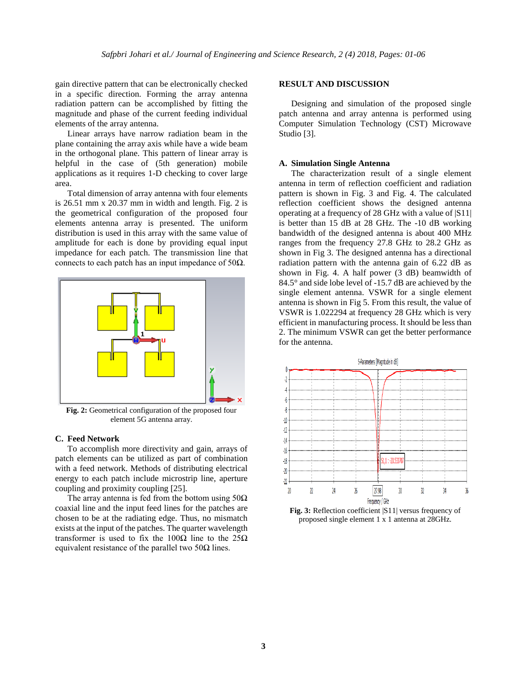gain directive pattern that can be electronically checked in a specific direction. Forming the array antenna radiation pattern can be accomplished by fitting the magnitude and phase of the current feeding individual elements of the array antenna.

Linear arrays have narrow radiation beam in the plane containing the array axis while have a wide beam in the orthogonal plane. This pattern of linear array is helpful in the case of (5th generation) mobile applications as it requires 1-D checking to cover large area.

Total dimension of array antenna with four elements is 26.51 mm x 20.37 mm in width and length. Fig. 2 is the geometrical configuration of the proposed four elements antenna array is presented. The uniform distribution is used in this array with the same value of amplitude for each is done by providing equal input impedance for each patch. The transmission line that connects to each patch has an input impedance of 50 $Ω$ .



**Fig. 2:** Geometrical configuration of the proposed four element 5G antenna array.

#### **C. Feed Network**

To accomplish more directivity and gain, arrays of patch elements can be utilized as part of combination with a feed network. Methods of distributing electrical energy to each patch include microstrip line, aperture coupling and proximity coupling [25].

The array antenna is fed from the bottom using  $50\Omega$ coaxial line and the input feed lines for the patches are chosen to be at the radiating edge. Thus, no mismatch exists at the input of the patches. The quarter wavelength transformer is used to fix the  $100Ω$  line to the  $25Ω$ equivalent resistance of the parallel two  $50\Omega$  lines.

### **RESULT AND DISCUSSION**

Designing and simulation of the proposed single patch antenna and array antenna is performed using Computer Simulation Technology (CST) Microwave Studio [3].

#### **A. Simulation Single Antenna**

The characterization result of a single element antenna in term of reflection coefficient and radiation pattern is shown in Fig. 3 and Fig. 4. The calculated reflection coefficient shows the designed antenna operating at a frequency of 28 GHz with a value of |S11| is better than 15 dB at 28 GHz. The -10 dB working bandwidth of the designed antenna is about 400 MHz ranges from the frequency 27.8 GHz to 28.2 GHz as shown in Fig 3. The designed antenna has a directional radiation pattern with the antenna gain of 6.22 dB as shown in Fig. 4. A half power (3 dB) beamwidth of 84.5° and side lobe level of -15.7 dB are achieved by the single element antenna. VSWR for a single element antenna is shown in Fig 5. From this result, the value of VSWR is 1.022294 at frequency 28 GHz which is very efficient in manufacturing process. It should be less than 2. The minimum VSWR can get the better performance for the antenna.



**Fig. 3:** Reflection coefficient |S11| versus frequency of proposed single element 1 x 1 antenna at 28GHz.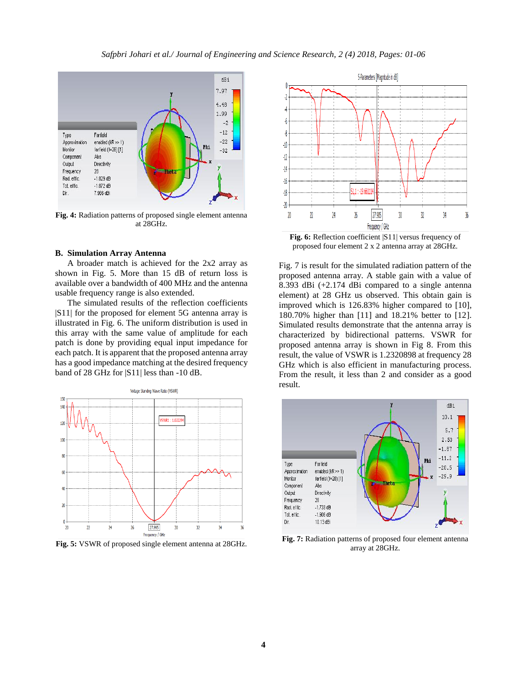

**Fig. 4:** Radiation patterns of proposed single element antenna at 28GHz.

#### **B. Simulation Array Antenna**

A broader match is achieved for the 2x2 array as shown in Fig. 5. More than 15 dB of return loss is available over a bandwidth of 400 MHz and the antenna usable frequency range is also extended.

The simulated results of the reflection coefficients |S11| for the proposed for element 5G antenna array is illustrated in Fig. 6. The uniform distribution is used in this array with the same value of amplitude for each patch is done by providing equal input impedance for each patch. It is apparent that the proposed antenna array has a good impedance matching at the desired frequency band of 28 GHz for |S11| less than -10 dB.



**Fig. 5:** VSWR of proposed single element antenna at 28GHz.



**Fig. 6:** Reflection coefficient |S11| versus frequency of proposed four element 2 x 2 antenna array at 28GHz.

Fig. 7 is result for the simulated radiation pattern of the proposed antenna array. A stable gain with a value of 8.393 dBi (+2.174 dBi compared to a single antenna element) at 28 GHz us observed. This obtain gain is improved which is 126.83% higher compared to [10], 180.70% higher than [11] and 18.21% better to [12]. Simulated results demonstrate that the antenna array is characterized by bidirectional patterns. VSWR for proposed antenna array is shown in Fig 8. From this result, the value of VSWR is 1.2320898 at frequency 28 GHz which is also efficient in manufacturing process. From the result, it less than 2 and consider as a good result.



**Fig. 7:** Radiation patterns of proposed four element antenna array at 28GHz.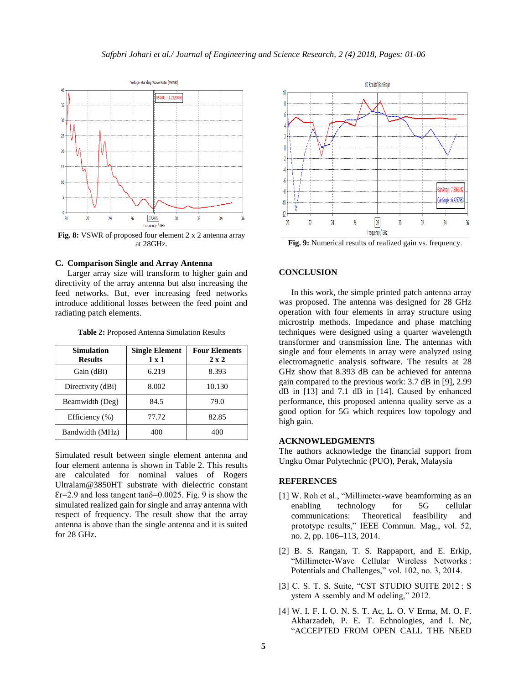

**Fig. 8:** VSWR of proposed four element 2 x 2 antenna array at 28GHz.

#### **C. Comparison Single and Array Antenna**

Larger array size will transform to higher gain and directivity of the array antenna but also increasing the feed networks. But, ever increasing feed networks introduce additional losses between the feed point and radiating patch elements.

**Table 2:** Proposed Antenna Simulation Results

| <b>Simulation</b><br><b>Results</b> | <b>Single Element</b><br>$1 \times 1$ | <b>Four Elements</b><br>$2 \times 2$ |
|-------------------------------------|---------------------------------------|--------------------------------------|
| Gain (dBi)                          | 6.219                                 | 8.393                                |
| Directivity (dBi)                   | 8.002                                 | 10.130                               |
| Beamwidth (Deg)                     | 84.5                                  | 79.0                                 |
| Efficiency (%)                      | 77.72                                 | 82.85                                |
| Bandwidth (MHz)                     | 400                                   | 400                                  |

Simulated result between single element antenna and four element antenna is shown in Table 2. This results are calculated for nominal values of Rogers Ultralam@3850HT substrate with dielectric constant  $Er=2.9$  and loss tangent tan $\delta=0.0025$ . Fig. 9 is show the simulated realized gain for single and array antenna with respect of frequency. The result show that the array antenna is above than the single antenna and it is suited for 28 GHz.



**Fig. 9:** Numerical results of realized gain vs. frequency.

## **CONCLUSION**

In this work, the simple printed patch antenna array was proposed. The antenna was designed for 28 GHz operation with four elements in array structure using microstrip methods. Impedance and phase matching techniques were designed using a quarter wavelength transformer and transmission line. The antennas with single and four elements in array were analyzed using electromagnetic analysis software. The results at 28 GHz show that 8.393 dB can be achieved for antenna gain compared to the previous work: 3.7 dB in [9], 2.99 dB in [13] and 7.1 dB in [14]. Caused by enhanced performance, this proposed antenna quality serve as a good option for 5G which requires low topology and high gain.

## **ACKNOWLEDGMENTS**

The authors acknowledge the financial support from Ungku Omar Polytechnic (PUO), Perak, Malaysia

## **REFERENCES**

- [1] W. Roh et al., "Millimeter-wave beamforming as an enabling technology for 5G cellular communications: Theoretical feasibility and prototype results," IEEE Commun. Mag., vol. 52, no. 2, pp. 106–113, 2014.
- [2] B. S. Rangan, T. S. Rappaport, and E. Erkip, "Millimeter-Wave Cellular Wireless Networks : Potentials and Challenges," vol. 102, no. 3, 2014.
- [3] C. S. T. S. Suite, "CST STUDIO SUITE 2012 : S ystem A ssembly and M odeling," 2012.
- [4] W. I. F. I. O. N. S. T. Ac, L. O. V Erma, M. O. F. Akharzadeh, P. E. T. Echnologies, and I. Nc, "ACCEPTED FROM OPEN CALL THE NEED